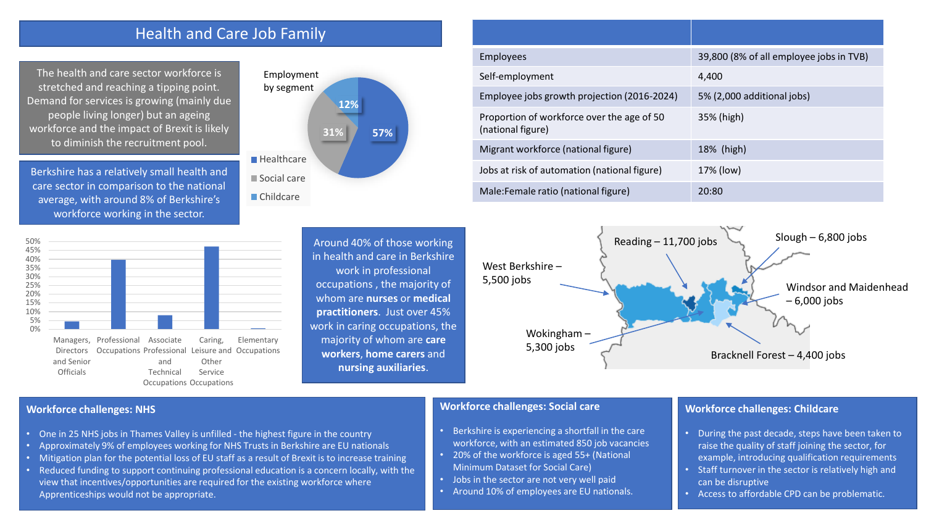# Health and Care Job Family

The health and care sector workforce is stretched and reaching a tipping point. Demand for services is growing (mainly due people living longer) but an ageing workforce and the impact of Brexit is likely to diminish the recruitment pool.

Berkshire has a relatively small health and care sector in comparison to the national average, with around 8% of Berkshire's workforce working in the sector.



**Directors** and Senior **Officials** Occupations Professional and Technical Occupations Occupations Leisure and Occupations Other Service





| <b>Employees</b>                                                | 39,800 (8% of all employee jobs in TVB) |
|-----------------------------------------------------------------|-----------------------------------------|
| Self-employment                                                 | 4.400                                   |
| Employee jobs growth projection (2016-2024)                     | 5% (2,000 additional jobs)              |
| Proportion of workforce over the age of 50<br>(national figure) | 35% (high)                              |
| Migrant workforce (national figure)                             | 18% (high)                              |
| Jobs at risk of automation (national figure)                    | 17% (low)                               |
| Male: Female ratio (national figure)                            | 20:80                                   |



#### **Workforce challenges: NHS**

- One in 25 NHS jobs in Thames Valley is unfilled the highest figure in the country
- Approximately 9% of employees working for NHS Trusts in Berkshire are EU nationals
- Mitigation plan for the potential loss of EU staff as a result of Brexit is to increase training
- Reduced funding to support continuing professional education is a concern locally, with the view that incentives/opportunities are required for the existing workforce where Apprenticeships would not be appropriate.

#### **Workforce challenges: Social care**

- Berkshire is experiencing a shortfall in the care workforce, with an estimated 850 job vacancies
- 20% of the workforce is aged 55+ (National Minimum Dataset for Social Care)
- Jobs in the sector are not very well paid
- Around 10% of employees are EU nationals.

### **Workforce challenges: Childcare**

- During the past decade, steps have been taken to raise the quality of staff joining the sector, for example, introducing qualification requirements
- Staff turnover in the sector is relatively high and can be disruptive
- Access to affordable CPD can be problematic.